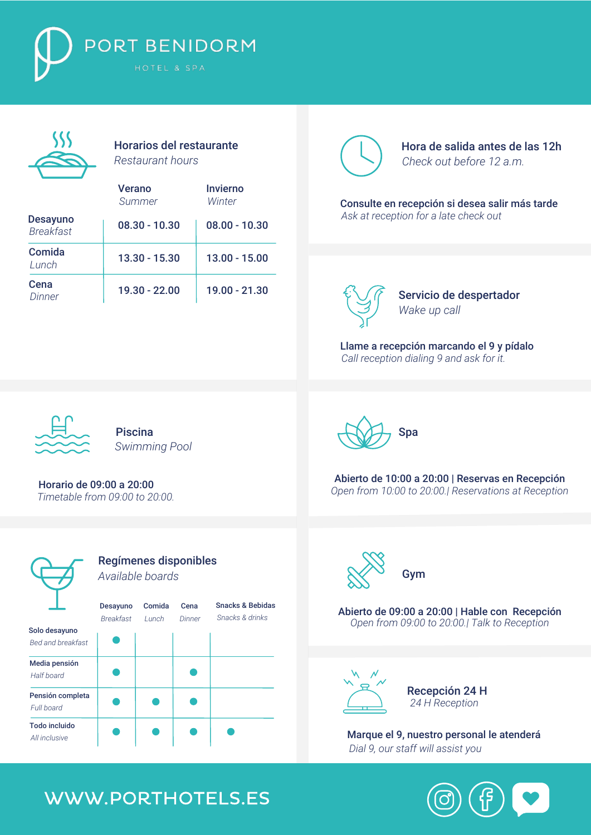



Horarios del restaurante *Restaurant hours*

|                                     | Verano<br>Summer | Invierno<br>Winter |
|-------------------------------------|------------------|--------------------|
| <b>Desayuno</b><br><b>Breakfast</b> | $08.30 - 10.30$  | $08.00 - 10.30$    |
| Comida<br>Lunch                     | 13.30 - 15.30    | $13.00 - 15.00$    |
| Cena<br>Dinner                      | 19.30 - 22.00    | 19.00 - 21.30      |



Hora de salida antes de las 12h *Check out before 12 a.m.*

*Ask at reception for a late check out* Consulte en recepción si desea salir más tarde



Servicio de despertador *Wake up call*

*Call reception dialing 9 and ask for it.* Llame a recepción marcando el 9 y pídalo



Piscina *Swimming Pool*

Horario de 09:00 a 20:00  *Timetable from 09:00 to 20:00.*





*Open from 10:00 to 20:00.| Reservations at Reception* Abierto de 10:00 a 20:00 | Reservas en Recepción



*Open from 09:00 to 20:00.| Talk to Reception* Abierto de 09:00 a 20:00 | Hable con Recepción



Recepción 24 H *24 H Reception*

Marque el 9, nuestro personal le atenderá *Dial 9, our staff will assist you*

## WWW.PORTHOTELS.ES